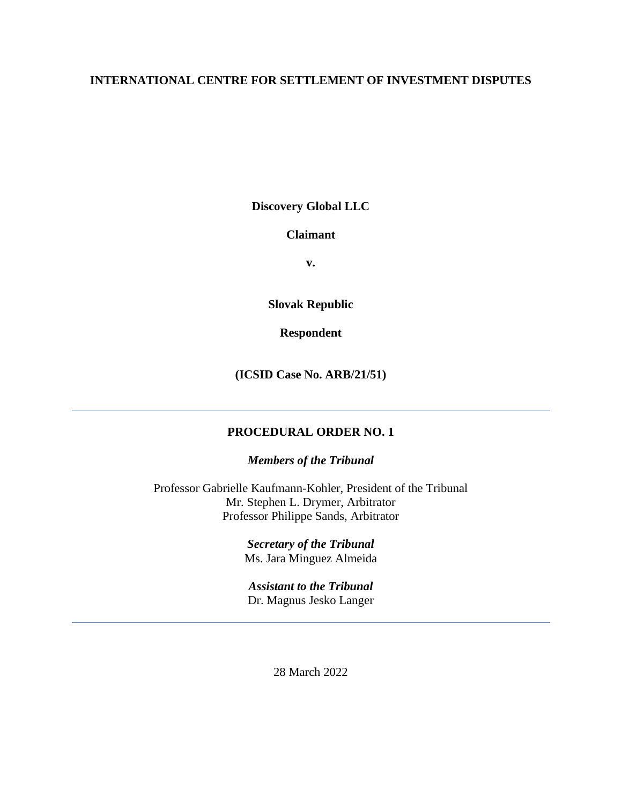## **INTERNATIONAL CENTRE FOR SETTLEMENT OF INVESTMENT DISPUTES**

**Discovery Global LLC**

**Claimant**

**v.**

**Slovak Republic**

**Respondent**

**(ICSID Case No. ARB/21/51)**

# **PROCEDURAL ORDER NO. 1**

*Members of the Tribunal*

Professor Gabrielle Kaufmann-Kohler, President of the Tribunal Mr. Stephen L. Drymer, Arbitrator Professor Philippe Sands, Arbitrator

> *Secretary of the Tribunal* Ms. Jara Minguez Almeida

*Assistant to the Tribunal* Dr. Magnus Jesko Langer

28 March 2022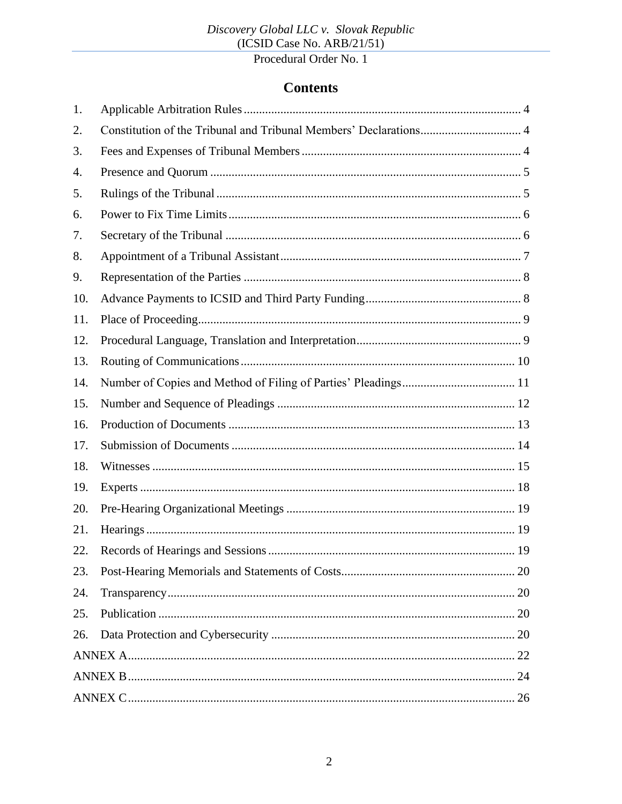# **Contents**

| 1.  |                                                                   |  |
|-----|-------------------------------------------------------------------|--|
| 2.  | Constitution of the Tribunal and Tribunal Members' Declarations 4 |  |
| 3.  |                                                                   |  |
| 4.  |                                                                   |  |
| 5.  |                                                                   |  |
| 6.  |                                                                   |  |
| 7.  |                                                                   |  |
| 8.  |                                                                   |  |
| 9.  |                                                                   |  |
| 10. |                                                                   |  |
| 11. |                                                                   |  |
| 12. |                                                                   |  |
| 13. |                                                                   |  |
| 14. |                                                                   |  |
| 15. |                                                                   |  |
| 16. |                                                                   |  |
| 17. |                                                                   |  |
| 18. |                                                                   |  |
| 19. |                                                                   |  |
| 20. |                                                                   |  |
| 21. |                                                                   |  |
| 22. |                                                                   |  |
| 23. |                                                                   |  |
| 24. |                                                                   |  |
| 25. |                                                                   |  |
| 26. |                                                                   |  |
|     |                                                                   |  |
|     |                                                                   |  |
|     |                                                                   |  |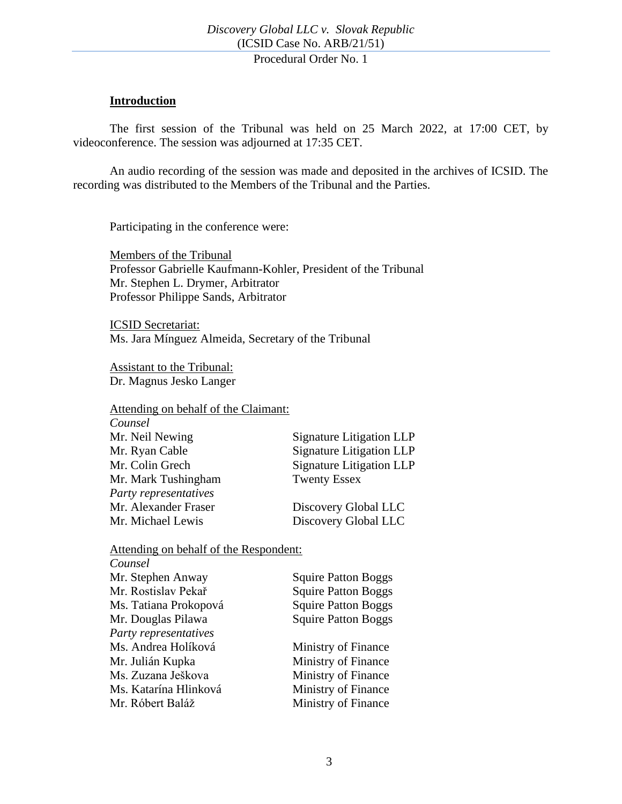#### **Introduction**

The first session of the Tribunal was held on 25 March 2022, at 17:00 CET, by videoconference. The session was adjourned at 17:35 CET.

An audio recording of the session was made and deposited in the archives of ICSID. The recording was distributed to the Members of the Tribunal and the Parties.

Participating in the conference were:

Members of the Tribunal Professor Gabrielle Kaufmann-Kohler, President of the Tribunal Mr. Stephen L. Drymer, Arbitrator Professor Philippe Sands, Arbitrator

ICSID Secretariat: Ms. Jara Mínguez Almeida, Secretary of the Tribunal

Assistant to the Tribunal: Dr. Magnus Jesko Langer

Attending on behalf of the Claimant:

| Counsel               |                                 |
|-----------------------|---------------------------------|
| Mr. Neil Newing       | Signature Litigation LLP        |
| Mr. Ryan Cable        | <b>Signature Litigation LLP</b> |
| Mr. Colin Grech       | <b>Signature Litigation LLP</b> |
| Mr. Mark Tushingham   | <b>Twenty Essex</b>             |
| Party representatives |                                 |
| Mr. Alexander Fraser  | Discovery Global LLC            |
| Mr. Michael Lewis     | Discovery Global LLC            |

#### Attending on behalf of the Respondent:

| Counsel               |                            |
|-----------------------|----------------------------|
| Mr. Stephen Anway     | <b>Squire Patton Boggs</b> |
| Mr. Rostislav Pekař   | <b>Squire Patton Boggs</b> |
| Ms. Tatiana Prokopová | <b>Squire Patton Boggs</b> |
| Mr. Douglas Pilawa    | <b>Squire Patton Boggs</b> |
| Party representatives |                            |
| Ms. Andrea Holíková   | Ministry of Finance        |
| Mr. Julián Kupka      | Ministry of Finance        |
| Ms. Zuzana Ješkova    | Ministry of Finance        |
| Ms. Katarína Hlinková | Ministry of Finance        |
| Mr. Róbert Baláž      | Ministry of Finance        |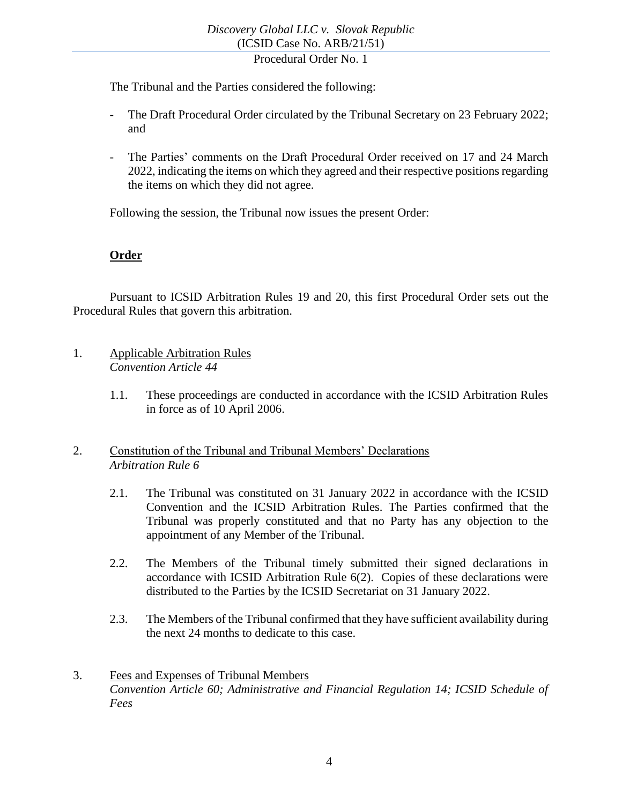The Tribunal and the Parties considered the following:

- The Draft Procedural Order circulated by the Tribunal Secretary on 23 February 2022; and
- The Parties' comments on the Draft Procedural Order received on 17 and 24 March 2022, indicating the items on which they agreed and their respective positions regarding the items on which they did not agree.

Following the session, the Tribunal now issues the present Order:

## **Order**

Pursuant to ICSID Arbitration Rules 19 and 20, this first Procedural Order sets out the Procedural Rules that govern this arbitration.

- <span id="page-3-0"></span>1. Applicable Arbitration Rules *Convention Article 44*
	- 1.1. These proceedings are conducted in accordance with the ICSID Arbitration Rules in force as of 10 April 2006.

#### <span id="page-3-1"></span>2. Constitution of the Tribunal and Tribunal Members' Declarations *Arbitration Rule 6*

- 2.1. The Tribunal was constituted on 31 January 2022 in accordance with the ICSID Convention and the ICSID Arbitration Rules. The Parties confirmed that the Tribunal was properly constituted and that no Party has any objection to the appointment of any Member of the Tribunal.
- 2.2. The Members of the Tribunal timely submitted their signed declarations in accordance with ICSID Arbitration Rule 6(2). Copies of these declarations were distributed to the Parties by the ICSID Secretariat on 31 January 2022.
- 2.3. The Members of the Tribunal confirmed that they have sufficient availability during the next 24 months to dedicate to this case.
- <span id="page-3-2"></span>3. Fees and Expenses of Tribunal Members *Convention Article 60; Administrative and Financial Regulation 14; ICSID Schedule of Fees*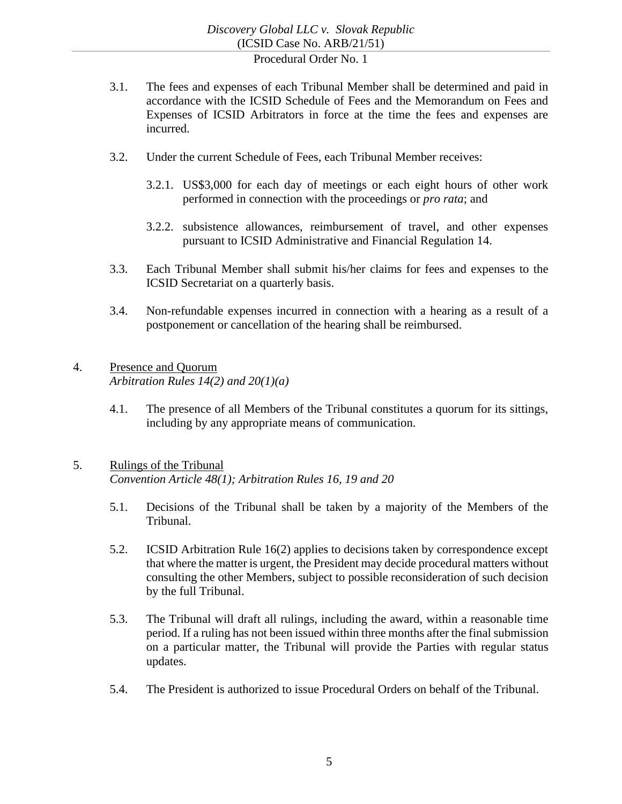- 3.1. The fees and expenses of each Tribunal Member shall be determined and paid in accordance with the ICSID Schedule of Fees and the Memorandum on Fees and Expenses of ICSID Arbitrators in force at the time the fees and expenses are incurred.
- 3.2. Under the current Schedule of Fees, each Tribunal Member receives:
	- 3.2.1. US\$3,000 for each day of meetings or each eight hours of other work performed in connection with the proceedings or *pro rata*; and
	- 3.2.2. subsistence allowances, reimbursement of travel, and other expenses pursuant to ICSID Administrative and Financial Regulation 14.
- 3.3. Each Tribunal Member shall submit his/her claims for fees and expenses to the ICSID Secretariat on a quarterly basis.
- 3.4. Non-refundable expenses incurred in connection with a hearing as a result of a postponement or cancellation of the hearing shall be reimbursed.

## <span id="page-4-0"></span>4. Presence and Quorum *Arbitration Rules 14(2) and 20(1)(a)*

4.1. The presence of all Members of the Tribunal constitutes a quorum for its sittings, including by any appropriate means of communication.

#### <span id="page-4-1"></span>5. Rulings of the Tribunal *Convention Article 48(1); Arbitration Rules 16, 19 and 20*

- 5.1. Decisions of the Tribunal shall be taken by a majority of the Members of the Tribunal.
- 5.2. ICSID Arbitration Rule 16(2) applies to decisions taken by correspondence except that where the matter is urgent, the President may decide procedural matters without consulting the other Members, subject to possible reconsideration of such decision by the full Tribunal.
- 5.3. The Tribunal will draft all rulings, including the award, within a reasonable time period. If a ruling has not been issued within three months after the final submission on a particular matter, the Tribunal will provide the Parties with regular status updates.
- 5.4. The President is authorized to issue Procedural Orders on behalf of the Tribunal.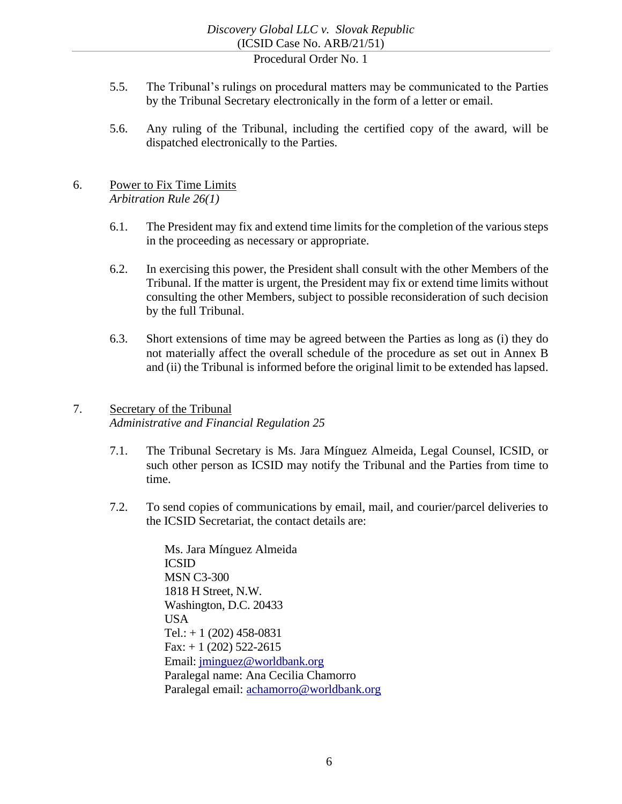- 5.5. The Tribunal's rulings on procedural matters may be communicated to the Parties by the Tribunal Secretary electronically in the form of a letter or email.
- 5.6. Any ruling of the Tribunal, including the certified copy of the award, will be dispatched electronically to the Parties.

#### <span id="page-5-0"></span>6. Power to Fix Time Limits *Arbitration Rule 26(1)*

- 6.1. The President may fix and extend time limits for the completion of the various steps in the proceeding as necessary or appropriate.
- 6.2. In exercising this power, the President shall consult with the other Members of the Tribunal. If the matter is urgent, the President may fix or extend time limits without consulting the other Members, subject to possible reconsideration of such decision by the full Tribunal.
- 6.3. Short extensions of time may be agreed between the Parties as long as (i) they do not materially affect the overall schedule of the procedure as set out in Annex B and (ii) the Tribunal is informed before the original limit to be extended has lapsed.

# <span id="page-5-1"></span>7. Secretary of the Tribunal *Administrative and Financial Regulation 25*

- 7.1. The Tribunal Secretary is Ms. Jara Mínguez Almeida, Legal Counsel, ICSID, or such other person as ICSID may notify the Tribunal and the Parties from time to time.
- 7.2. To send copies of communications by email, mail, and courier/parcel deliveries to the ICSID Secretariat, the contact details are:

Ms. Jara Mínguez Almeida ICSID MSN C3-300 1818 H Street, N.W. Washington, D.C. 20433 USA Tel.:  $+ 1 (202) 458 - 0831$  $Fax: + 1 (202) 522-2615$ Email: [jminguez@worldbank.org](mailto:jminguez@worldbank.org) Paralegal name: Ana Cecilia Chamorro Paralegal email: [achamorro@worldbank.org](mailto:achamorro@worldbank.org)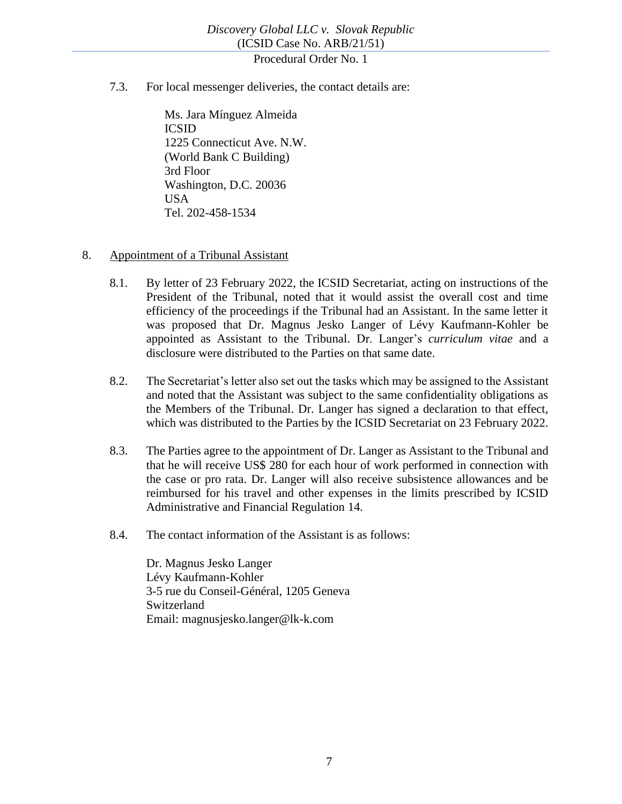<span id="page-6-1"></span>7.3. For local messenger deliveries, the contact details are:

Ms. Jara Mínguez Almeida ICSID 1225 Connecticut Ave. N.W. (World Bank C Building) 3rd Floor Washington, D.C. 20036 USA Tel. 202-458-1534

- <span id="page-6-0"></span>8. Appointment of a Tribunal Assistant
	- 8.1. By letter of 23 February 2022, the ICSID Secretariat, acting on instructions of the President of the Tribunal, noted that it would assist the overall cost and time efficiency of the proceedings if the Tribunal had an Assistant. In the same letter it was proposed that Dr. Magnus Jesko Langer of Lévy Kaufmann-Kohler be appointed as Assistant to the Tribunal. Dr. Langer's *curriculum vitae* and a disclosure were distributed to the Parties on that same date.
	- 8.2. The Secretariat's letter also set out the tasks which may be assigned to the Assistant and noted that the Assistant was subject to the same confidentiality obligations as the Members of the Tribunal. Dr. Langer has signed a declaration to that effect, which was distributed to the Parties by the ICSID Secretariat on 23 February 2022.
	- 8.3. The Parties agree to the appointment of Dr. Langer as Assistant to the Tribunal and that he will receive US\$ 280 for each hour of work performed in connection with the case or pro rata. Dr. Langer will also receive subsistence allowances and be reimbursed for his travel and other expenses in the limits prescribed by ICSID Administrative and Financial Regulation 14.
	- 8.4. The contact information of the Assistant is as follows:

Dr. Magnus Jesko Langer Lévy Kaufmann-Kohler 3-5 rue du Conseil-Général, 1205 Geneva Switzerland Email: magnusjesko.langer@lk-k.com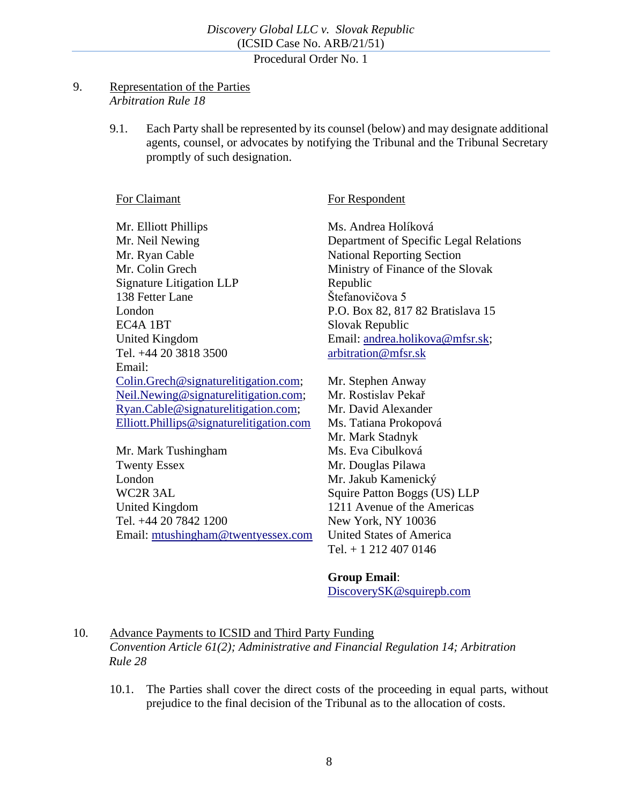#### <span id="page-7-0"></span>9. Representation of the Parties *Arbitration Rule 18*

<span id="page-7-2"></span>9.1. Each Party shall be represented by its counsel (below) and may designate additional agents, counsel, or advocates by notifying the Tribunal and the Tribunal Secretary promptly of such designation.

#### For Claimant

For Respondent

Mr. Elliott Phillips Mr. Neil Newing Mr. Ryan Cable Mr. Colin Grech Signature Litigation LLP 138 Fetter Lane London EC4A 1BT United Kingdom Tel. +44 20 3818 3500 Email: [Colin.Grech@signaturelitigation.com;](mailto:Colin.Grech@signaturelitigation.com) [Neil.Newing@signaturelitigation.com;](mailto:Neil.Newing@signaturelitigation.com) [Ryan.Cable@signaturelitigation.com;](mailto:Ryan.Cable@signaturelitigation.com) [Elliott.Phillips@signaturelitigation.com](mailto:Elliott.Phillips@signaturelitigation.com)

Mr. Mark Tushingham Twenty Essex London WC2R 3AL United Kingdom Tel. +44 20 7842 1200 Email: [mtushingham@twentyessex.com](mailto:mtushingham@twentyessex.com) Ms. Andrea Holíková Department of Specific Legal Relations National Reporting Section Ministry of Finance of the Slovak Republic Štefanovičova 5 P.O. Box 82, 817 82 Bratislava 15 Slovak Republic Email: [andrea.holikova@mfsr.sk;](mailto:andrea.holikova@mfsr.sk) [arbitration@mfsr.sk](mailto:arbitration@mfsr.sk)

Mr. Stephen Anway Mr. Rostislav Pekař Mr. David Alexander Ms. Tatiana Prokopová Mr. Mark Stadnyk Ms. Eva Cibulková Mr. Douglas Pilawa Mr. Jakub Kamenický Squire Patton Boggs (US) LLP 1211 Avenue of the Americas New York, NY 10036 United States of America Tel. + 1 212 407 0146

#### **Group Email**:

[DiscoverySK@squirepb.com](mailto:DiscoverySK@squirepb.com)

<span id="page-7-1"></span>10. Advance Payments to ICSID and Third Party Funding *Convention Article 61(2); Administrative and Financial Regulation 14; Arbitration Rule 28*

10.1. The Parties shall cover the direct costs of the proceeding in equal parts, without prejudice to the final decision of the Tribunal as to the allocation of costs.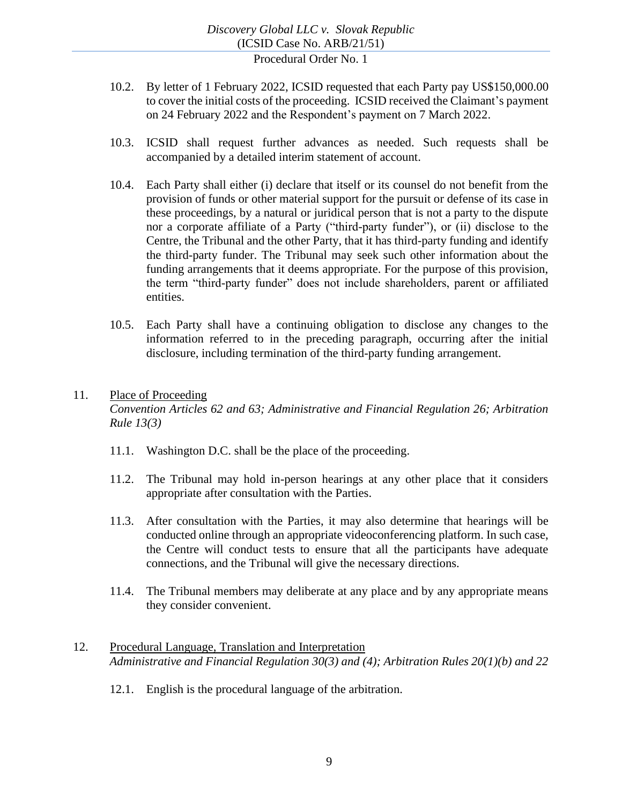- 10.2. By letter of 1 February 2022, ICSID requested that each Party pay US\$150,000.00 to cover the initial costs of the proceeding. ICSID received the Claimant's payment on 24 February 2022 and the Respondent's payment on 7 March 2022.
- 10.3. ICSID shall request further advances as needed. Such requests shall be accompanied by a detailed interim statement of account.
- 10.4. Each Party shall either (i) declare that itself or its counsel do not benefit from the provision of funds or other material support for the pursuit or defense of its case in these proceedings, by a natural or juridical person that is not a party to the dispute nor a corporate affiliate of a Party ("third-party funder"), or (ii) disclose to the Centre, the Tribunal and the other Party, that it has third-party funding and identify the third-party funder. The Tribunal may seek such other information about the funding arrangements that it deems appropriate. For the purpose of this provision, the term "third-party funder" does not include shareholders, parent or affiliated entities.
- 10.5. Each Party shall have a continuing obligation to disclose any changes to the information referred to in the preceding paragraph, occurring after the initial disclosure, including termination of the third-party funding arrangement.

#### <span id="page-8-0"></span>11. Place of Proceeding

*Convention Articles 62 and 63; Administrative and Financial Regulation 26; Arbitration Rule 13(3)*

- 11.1. Washington D.C. shall be the place of the proceeding.
- 11.2. The Tribunal may hold in-person hearings at any other place that it considers appropriate after consultation with the Parties.
- 11.3. After consultation with the Parties, it may also determine that hearings will be conducted online through an appropriate videoconferencing platform. In such case, the Centre will conduct tests to ensure that all the participants have adequate connections, and the Tribunal will give the necessary directions.
- 11.4. The Tribunal members may deliberate at any place and by any appropriate means they consider convenient.
- <span id="page-8-1"></span>12. Procedural Language, Translation and Interpretation *Administrative and Financial Regulation 30(3) and (4); Arbitration Rules 20(1)(b) and 22*
	- 12.1. English is the procedural language of the arbitration.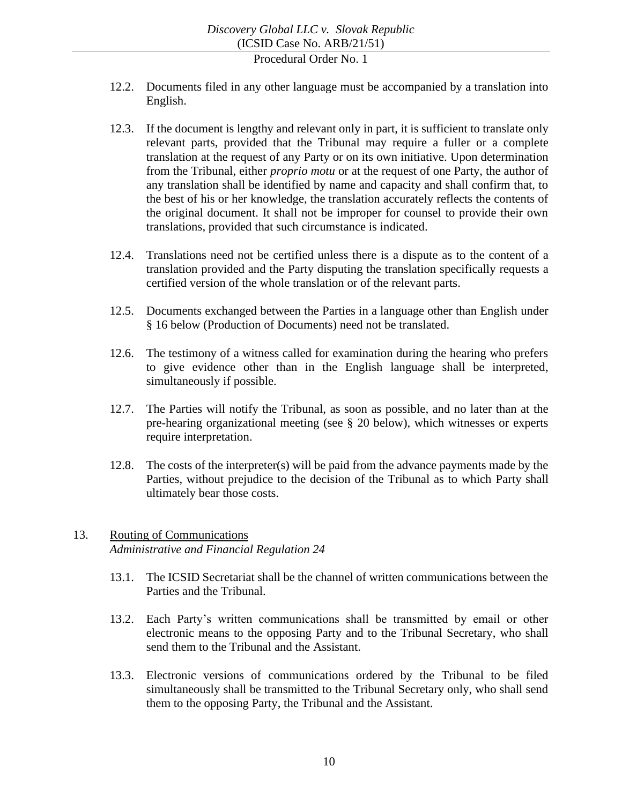- 12.2. Documents filed in any other language must be accompanied by a translation into English.
- 12.3. If the document is lengthy and relevant only in part, it is sufficient to translate only relevant parts, provided that the Tribunal may require a fuller or a complete translation at the request of any Party or on its own initiative. Upon determination from the Tribunal, either *proprio motu* or at the request of one Party, the author of any translation shall be identified by name and capacity and shall confirm that, to the best of his or her knowledge, the translation accurately reflects the contents of the original document. It shall not be improper for counsel to provide their own translations, provided that such circumstance is indicated.
- 12.4. Translations need not be certified unless there is a dispute as to the content of a translation provided and the Party disputing the translation specifically requests a certified version of the whole translation or of the relevant parts.
- 12.5. Documents exchanged between the Parties in a language other than English under § [16](#page-12-0) below (Production of Documents) need not be translated.
- 12.6. The testimony of a witness called for examination during the hearing who prefers to give evidence other than in the English language shall be interpreted, simultaneously if possible.
- 12.7. The Parties will notify the Tribunal, as soon as possible, and no later than at the pre-hearing organizational meeting (see § [20](#page-18-0) below), which witnesses or experts require interpretation.
- 12.8. The costs of the interpreter(s) will be paid from the advance payments made by the Parties, without prejudice to the decision of the Tribunal as to which Party shall ultimately bear those costs.

# <span id="page-9-0"></span>13. Routing of Communications *Administrative and Financial Regulation 24*

- 13.1. The ICSID Secretariat shall be the channel of written communications between the Parties and the Tribunal.
- 13.2. Each Party's written communications shall be transmitted by email or other electronic means to the opposing Party and to the Tribunal Secretary, who shall send them to the Tribunal and the Assistant.
- 13.3. Electronic versions of communications ordered by the Tribunal to be filed simultaneously shall be transmitted to the Tribunal Secretary only, who shall send them to the opposing Party, the Tribunal and the Assistant.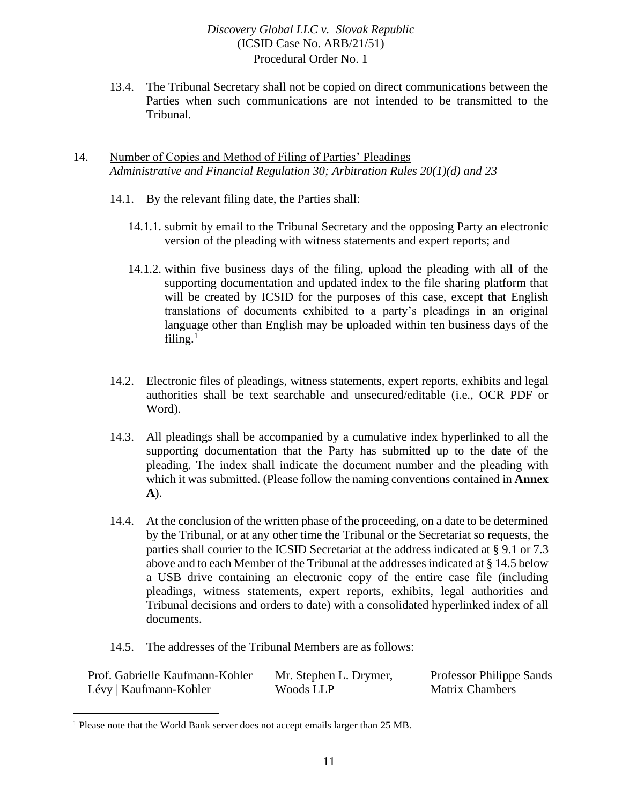13.4. The Tribunal Secretary shall not be copied on direct communications between the Parties when such communications are not intended to be transmitted to the Tribunal.

## <span id="page-10-0"></span>14. Number of Copies and Method of Filing of Parties' Pleadings *Administrative and Financial Regulation 30; Arbitration Rules 20(1)(d) and 23*

- 14.1. By the relevant filing date, the Parties shall:
	- 14.1.1. submit by email to the Tribunal Secretary and the opposing Party an electronic version of the pleading with witness statements and expert reports; and
	- 14.1.2. within five business days of the filing, upload the pleading with all of the supporting documentation and updated index to the file sharing platform that will be created by ICSID for the purposes of this case, except that English translations of documents exhibited to a party's pleadings in an original language other than English may be uploaded within ten business days of the filing. $1$
- 14.2. Electronic files of pleadings, witness statements, expert reports, exhibits and legal authorities shall be text searchable and unsecured/editable (i.e., OCR PDF or Word).
- 14.3. All pleadings shall be accompanied by a cumulative index hyperlinked to all the supporting documentation that the Party has submitted up to the date of the pleading. The index shall indicate the document number and the pleading with which it was submitted. (Please follow the naming conventions contained in **Annex A**).
- 14.4. At the conclusion of the written phase of the proceeding, on a date to be determined by the Tribunal, or at any other time the Tribunal or the Secretariat so requests, the parties shall courier to the ICSID Secretariat at the address indicated at § [9.1](#page-7-2) or [7.3](#page-6-1) above and to each Member of the Tribunal at the addresses indicated at § [14.5](#page-10-1) below a USB drive containing an electronic copy of the entire case file (including pleadings, witness statements, expert reports, exhibits, legal authorities and Tribunal decisions and orders to date) with a consolidated hyperlinked index of all documents.
- 14.5. The addresses of the Tribunal Members are as follows:

<span id="page-10-1"></span>

| Prof. Gabrielle Kaufmann-Kohler | Mr. Stephen L. Drymer, | Professor Philippe Sands |
|---------------------------------|------------------------|--------------------------|
| Lévy   Kaufmann-Kohler          | Woods LLP              | <b>Matrix Chambers</b>   |

<sup>&</sup>lt;sup>1</sup> Please note that the World Bank server does not accept emails larger than 25 MB.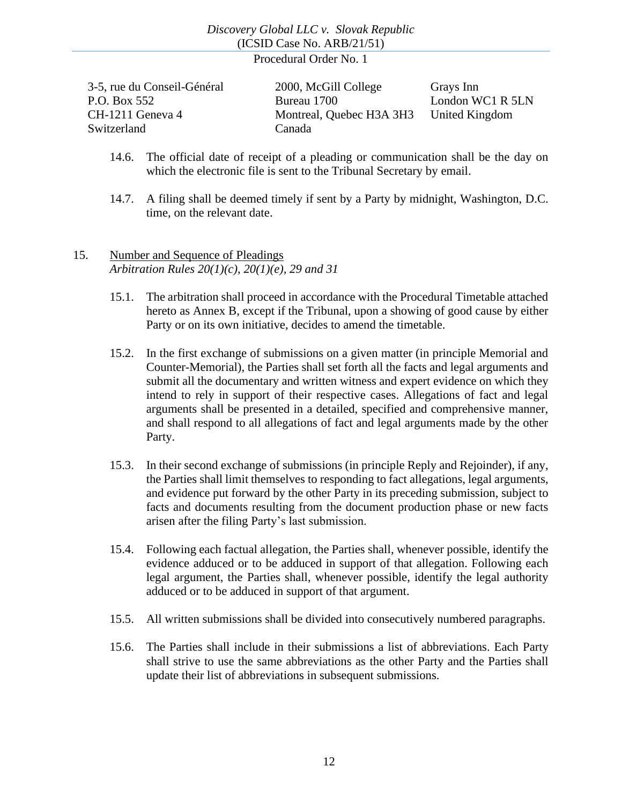| 3-5, rue du Conseil-Général | 2000, McGill College     | Grays Inn        |
|-----------------------------|--------------------------|------------------|
| P.O. Box 552                | Bureau 1700              | London WC1 R 5LN |
| CH-1211 Geneva 4            | Montreal, Quebec H3A 3H3 | United Kingdom   |
| Switzerland                 | Canada                   |                  |

- 14.6. The official date of receipt of a pleading or communication shall be the day on which the electronic file is sent to the Tribunal Secretary by email.
- 14.7. A filing shall be deemed timely if sent by a Party by midnight, Washington, D.C. time, on the relevant date.

## <span id="page-11-0"></span>15. Number and Sequence of Pleadings *Arbitration Rules 20(1)(c), 20(1)(e), 29 and 31*

- 15.1. The arbitration shall proceed in accordance with the Procedural Timetable attached hereto as Annex B, except if the Tribunal, upon a showing of good cause by either Party or on its own initiative, decides to amend the timetable.
- <span id="page-11-1"></span>15.2. In the first exchange of submissions on a given matter (in principle Memorial and Counter-Memorial), the Parties shall set forth all the facts and legal arguments and submit all the documentary and written witness and expert evidence on which they intend to rely in support of their respective cases. Allegations of fact and legal arguments shall be presented in a detailed, specified and comprehensive manner, and shall respond to all allegations of fact and legal arguments made by the other Party.
- <span id="page-11-2"></span>15.3. In their second exchange of submissions (in principle Reply and Rejoinder), if any, the Parties shall limit themselves to responding to fact allegations, legal arguments, and evidence put forward by the other Party in its preceding submission, subject to facts and documents resulting from the document production phase or new facts arisen after the filing Party's last submission.
- 15.4. Following each factual allegation, the Parties shall, whenever possible, identify the evidence adduced or to be adduced in support of that allegation. Following each legal argument, the Parties shall, whenever possible, identify the legal authority adduced or to be adduced in support of that argument.
- 15.5. All written submissions shall be divided into consecutively numbered paragraphs.
- 15.6. The Parties shall include in their submissions a list of abbreviations. Each Party shall strive to use the same abbreviations as the other Party and the Parties shall update their list of abbreviations in subsequent submissions.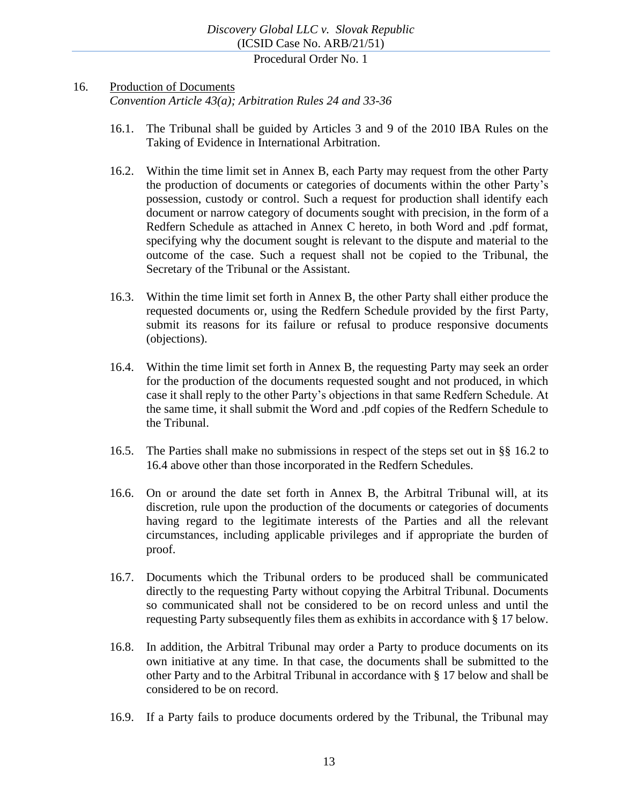#### <span id="page-12-0"></span>16. Production of Documents

*Convention Article 43(a); Arbitration Rules 24 and 33-36*

- 16.1. The Tribunal shall be guided by Articles 3 and 9 of the 2010 IBA Rules on the Taking of Evidence in International Arbitration.
- <span id="page-12-1"></span>16.2. Within the time limit set in Annex B, each Party may request from the other Party the production of documents or categories of documents within the other Party's possession, custody or control. Such a request for production shall identify each document or narrow category of documents sought with precision, in the form of a Redfern Schedule as attached in Annex C hereto, in both Word and .pdf format, specifying why the document sought is relevant to the dispute and material to the outcome of the case. Such a request shall not be copied to the Tribunal, the Secretary of the Tribunal or the Assistant.
- 16.3. Within the time limit set forth in Annex B, the other Party shall either produce the requested documents or, using the Redfern Schedule provided by the first Party, submit its reasons for its failure or refusal to produce responsive documents (objections).
- <span id="page-12-2"></span>16.4. Within the time limit set forth in Annex B, the requesting Party may seek an order for the production of the documents requested sought and not produced, in which case it shall reply to the other Party's objections in that same Redfern Schedule. At the same time, it shall submit the Word and .pdf copies of the Redfern Schedule to the Tribunal.
- 16.5. The Parties shall make no submissions in respect of the steps set out in §§ [16.2](#page-12-1) to [16.4](#page-12-2) above other than those incorporated in the Redfern Schedules.
- 16.6. On or around the date set forth in Annex B, the Arbitral Tribunal will, at its discretion, rule upon the production of the documents or categories of documents having regard to the legitimate interests of the Parties and all the relevant circumstances, including applicable privileges and if appropriate the burden of proof.
- 16.7. Documents which the Tribunal orders to be produced shall be communicated directly to the requesting Party without copying the Arbitral Tribunal. Documents so communicated shall not be considered to be on record unless and until the requesting Party subsequently files them as exhibits in accordance with § 17 below.
- 16.8. In addition, the Arbitral Tribunal may order a Party to produce documents on its own initiative at any time. In that case, the documents shall be submitted to the other Party and to the Arbitral Tribunal in accordance with § 17 below and shall be considered to be on record.
- 16.9. If a Party fails to produce documents ordered by the Tribunal, the Tribunal may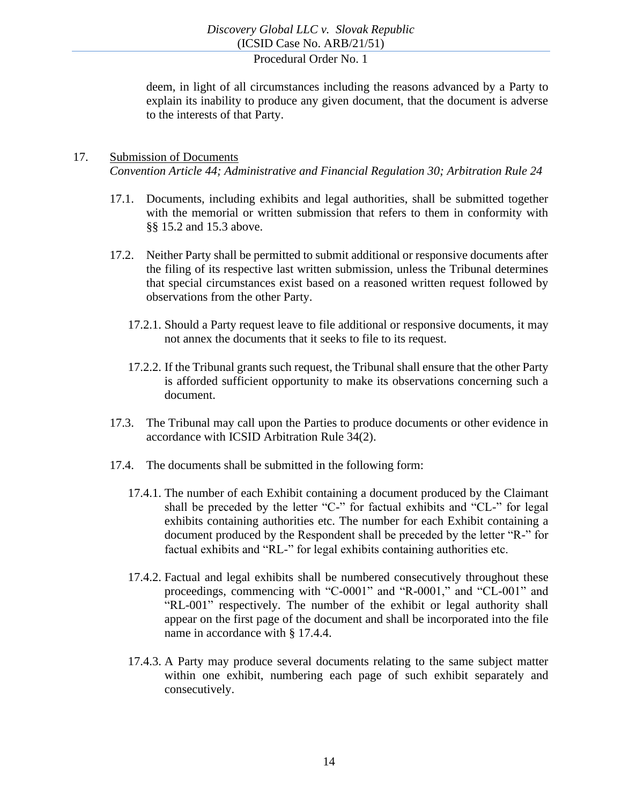deem, in light of all circumstances including the reasons advanced by a Party to explain its inability to produce any given document, that the document is adverse to the interests of that Party.

## <span id="page-13-0"></span>17. Submission of Documents *Convention Article 44; Administrative and Financial Regulation 30; Arbitration Rule 24*

- 17.1. Documents, including exhibits and legal authorities, shall be submitted together with the memorial or written submission that refers to them in conformity with §§ [15.2](#page-11-1) and [15.3](#page-11-2) above.
- 17.2. Neither Party shall be permitted to submit additional or responsive documents after the filing of its respective last written submission, unless the Tribunal determines that special circumstances exist based on a reasoned written request followed by observations from the other Party.
	- 17.2.1. Should a Party request leave to file additional or responsive documents, it may not annex the documents that it seeks to file to its request.
	- 17.2.2. If the Tribunal grants such request, the Tribunal shall ensure that the other Party is afforded sufficient opportunity to make its observations concerning such a document.
- 17.3. The Tribunal may call upon the Parties to produce documents or other evidence in accordance with ICSID Arbitration Rule 34(2).
- 17.4. The documents shall be submitted in the following form:
	- 17.4.1. The number of each Exhibit containing a document produced by the Claimant shall be preceded by the letter "C-" for factual exhibits and "CL-" for legal exhibits containing authorities etc. The number for each Exhibit containing a document produced by the Respondent shall be preceded by the letter "R-" for factual exhibits and "RL-" for legal exhibits containing authorities etc.
	- 17.4.2. Factual and legal exhibits shall be numbered consecutively throughout these proceedings, commencing with "C-0001" and "R-0001," and "CL-001" and "RL-001" respectively. The number of the exhibit or legal authority shall appear on the first page of the document and shall be incorporated into the file name in accordance with § [17.4.4.](#page-14-1)
	- 17.4.3. A Party may produce several documents relating to the same subject matter within one exhibit, numbering each page of such exhibit separately and consecutively.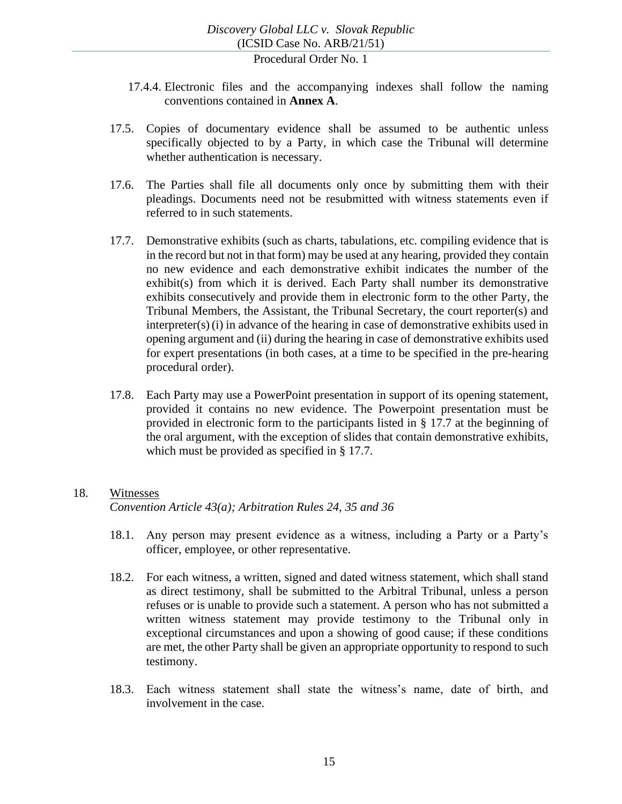- <span id="page-14-1"></span>17.4.4. Electronic files and the accompanying indexes shall follow the naming conventions contained in **Annex A**.
- 17.5. Copies of documentary evidence shall be assumed to be authentic unless specifically objected to by a Party, in which case the Tribunal will determine whether authentication is necessary.
- 17.6. The Parties shall file all documents only once by submitting them with their pleadings. Documents need not be resubmitted with witness statements even if referred to in such statements.
- 17.7. Demonstrative exhibits (such as charts, tabulations, etc. compiling evidence that is in the record but not in that form) may be used at any hearing, provided they contain no new evidence and each demonstrative exhibit indicates the number of the exhibit(s) from which it is derived. Each Party shall number its demonstrative exhibits consecutively and provide them in electronic form to the other Party, the Tribunal Members, the Assistant, the Tribunal Secretary, the court reporter(s) and interpreter(s)(i) in advance of the hearing in case of demonstrative exhibits used in opening argument and (ii) during the hearing in case of demonstrative exhibits used for expert presentations (in both cases, at a time to be specified in the pre-hearing procedural order).
- 17.8. Each Party may use a PowerPoint presentation in support of its opening statement, provided it contains no new evidence. The Powerpoint presentation must be provided in electronic form to the participants listed in § 17.7 at the beginning of the oral argument, with the exception of slides that contain demonstrative exhibits, which must be provided as specified in § 17.7.

#### <span id="page-14-0"></span>18. Witnesses

*Convention Article 43(a); Arbitration Rules 24, 35 and 36*

- 18.1. Any person may present evidence as a witness, including a Party or a Party's officer, employee, or other representative.
- 18.2. For each witness, a written, signed and dated witness statement, which shall stand as direct testimony, shall be submitted to the Arbitral Tribunal, unless a person refuses or is unable to provide such a statement. A person who has not submitted a written witness statement may provide testimony to the Tribunal only in exceptional circumstances and upon a showing of good cause; if these conditions are met, the other Party shall be given an appropriate opportunity to respond to such testimony.
- 18.3. Each witness statement shall state the witness's name, date of birth, and involvement in the case.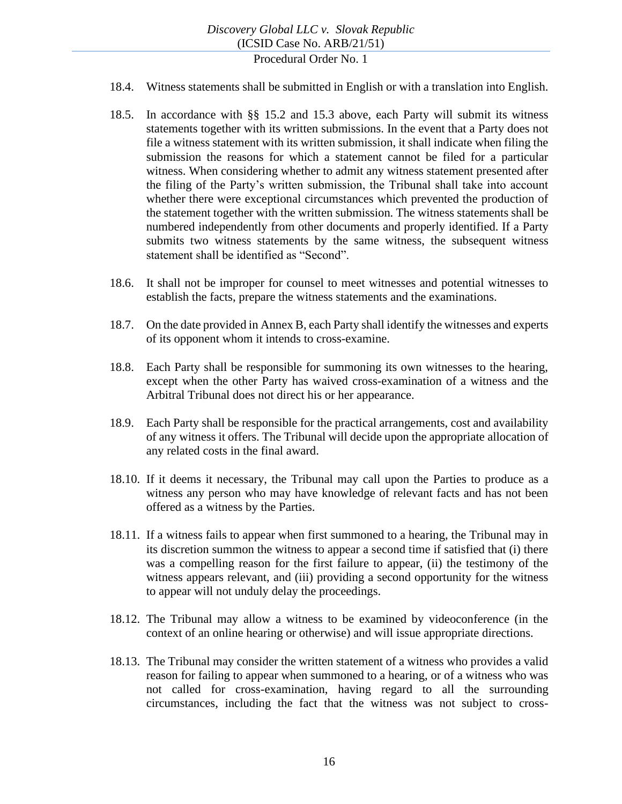- 18.4. Witness statements shall be submitted in English or with a translation into English.
- 18.5. In accordance with §§ [15.2](#page-11-1) and [15.3](#page-11-2) above, each Party will submit its witness statements together with its written submissions. In the event that a Party does not file a witness statement with its written submission, it shall indicate when filing the submission the reasons for which a statement cannot be filed for a particular witness. When considering whether to admit any witness statement presented after the filing of the Party's written submission, the Tribunal shall take into account whether there were exceptional circumstances which prevented the production of the statement together with the written submission. The witness statements shall be numbered independently from other documents and properly identified. If a Party submits two witness statements by the same witness, the subsequent witness statement shall be identified as "Second".
- 18.6. It shall not be improper for counsel to meet witnesses and potential witnesses to establish the facts, prepare the witness statements and the examinations.
- 18.7. On the date provided in Annex B, each Party shall identify the witnesses and experts of its opponent whom it intends to cross-examine.
- 18.8. Each Party shall be responsible for summoning its own witnesses to the hearing, except when the other Party has waived cross-examination of a witness and the Arbitral Tribunal does not direct his or her appearance.
- 18.9. Each Party shall be responsible for the practical arrangements, cost and availability of any witness it offers. The Tribunal will decide upon the appropriate allocation of any related costs in the final award.
- 18.10. If it deems it necessary, the Tribunal may call upon the Parties to produce as a witness any person who may have knowledge of relevant facts and has not been offered as a witness by the Parties.
- 18.11. If a witness fails to appear when first summoned to a hearing, the Tribunal may in its discretion summon the witness to appear a second time if satisfied that (i) there was a compelling reason for the first failure to appear, (ii) the testimony of the witness appears relevant, and (iii) providing a second opportunity for the witness to appear will not unduly delay the proceedings.
- 18.12. The Tribunal may allow a witness to be examined by videoconference (in the context of an online hearing or otherwise) and will issue appropriate directions.
- 18.13. The Tribunal may consider the written statement of a witness who provides a valid reason for failing to appear when summoned to a hearing, or of a witness who was not called for cross-examination, having regard to all the surrounding circumstances, including the fact that the witness was not subject to cross-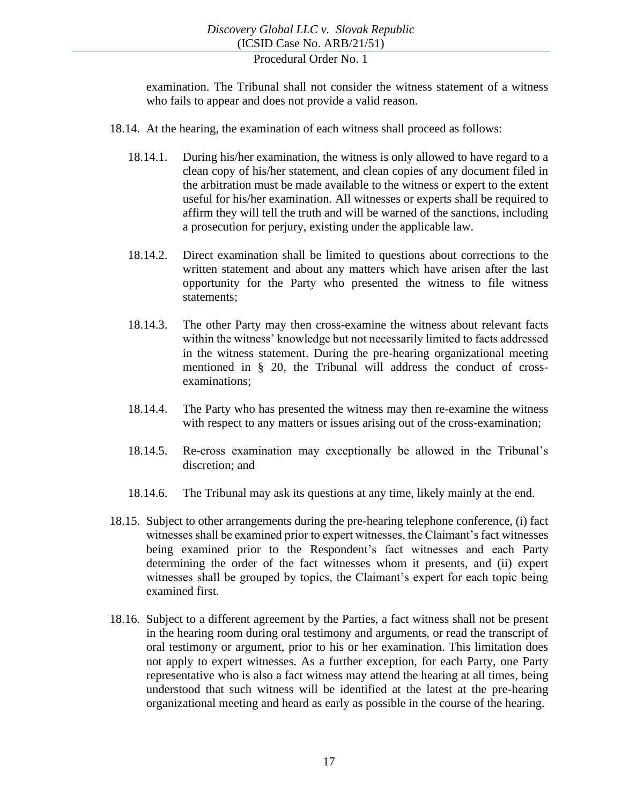examination. The Tribunal shall not consider the witness statement of a witness who fails to appear and does not provide a valid reason.

- 18.14. At the hearing, the examination of each witness shall proceed as follows:
	- 18.14.1. During his/her examination, the witness is only allowed to have regard to a clean copy of his/her statement, and clean copies of any document filed in the arbitration must be made available to the witness or expert to the extent useful for his/her examination. All witnesses or experts shall be required to affirm they will tell the truth and will be warned of the sanctions, including a prosecution for perjury, existing under the applicable law.
	- 18.14.2. Direct examination shall be limited to questions about corrections to the written statement and about any matters which have arisen after the last opportunity for the Party who presented the witness to file witness statements;
	- 18.14.3. The other Party may then cross-examine the witness about relevant facts within the witness' knowledge but not necessarily limited to facts addressed in the witness statement. During the pre-hearing organizational meeting mentioned in § 20, the Tribunal will address the conduct of crossexaminations;
	- 18.14.4. The Party who has presented the witness may then re-examine the witness with respect to any matters or issues arising out of the cross-examination;
	- 18.14.5. Re-cross examination may exceptionally be allowed in the Tribunal's discretion; and
	- 18.14.6. The Tribunal may ask its questions at any time, likely mainly at the end.
- 18.15. Subject to other arrangements during the pre-hearing telephone conference, (i) fact witnesses shall be examined prior to expert witnesses, the Claimant's fact witnesses being examined prior to the Respondent's fact witnesses and each Party determining the order of the fact witnesses whom it presents, and (ii) expert witnesses shall be grouped by topics, the Claimant's expert for each topic being examined first.
- 18.16. Subject to a different agreement by the Parties, a fact witness shall not be present in the hearing room during oral testimony and arguments, or read the transcript of oral testimony or argument, prior to his or her examination. This limitation does not apply to expert witnesses. As a further exception, for each Party, one Party representative who is also a fact witness may attend the hearing at all times, being understood that such witness will be identified at the latest at the pre-hearing organizational meeting and heard as early as possible in the course of the hearing.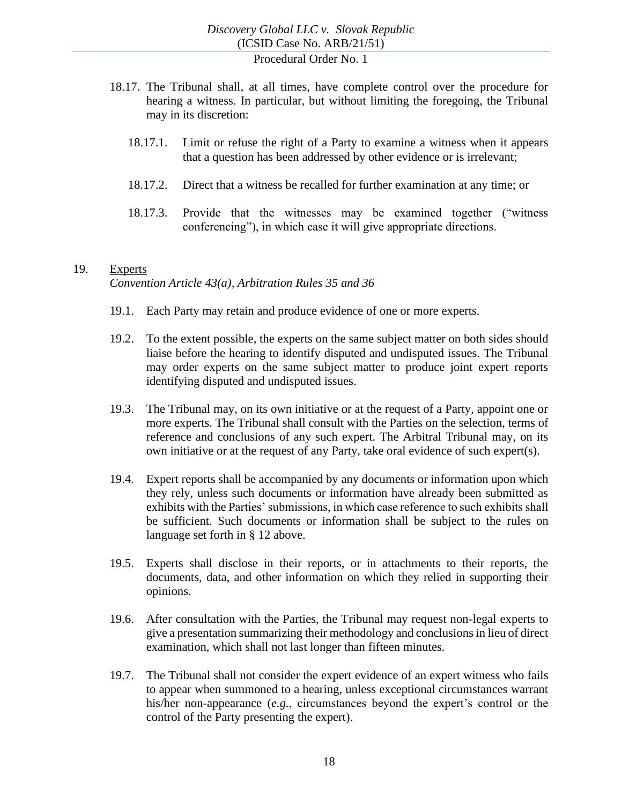- 18.17. The Tribunal shall, at all times, have complete control over the procedure for hearing a witness. In particular, but without limiting the foregoing, the Tribunal may in its discretion:
	- 18.17.1. Limit or refuse the right of a Party to examine a witness when it appears that a question has been addressed by other evidence or is irrelevant;
	- 18.17.2. Direct that a witness be recalled for further examination at any time; or
	- 18.17.3. Provide that the witnesses may be examined together ("witness conferencing"), in which case it will give appropriate directions.

#### <span id="page-17-0"></span>19. Experts

*Convention Article 43(a), Arbitration Rules 35 and 36*

- 19.1. Each Party may retain and produce evidence of one or more experts.
- 19.2. To the extent possible, the experts on the same subject matter on both sides should liaise before the hearing to identify disputed and undisputed issues. The Tribunal may order experts on the same subject matter to produce joint expert reports identifying disputed and undisputed issues.
- 19.3. The Tribunal may, on its own initiative or at the request of a Party, appoint one or more experts. The Tribunal shall consult with the Parties on the selection, terms of reference and conclusions of any such expert. The Arbitral Tribunal may, on its own initiative or at the request of any Party, take oral evidence of such expert(s).
- 19.4. Expert reports shall be accompanied by any documents or information upon which they rely, unless such documents or information have already been submitted as exhibits with the Parties' submissions, in which case reference to such exhibits shall be sufficient. Such documents or information shall be subject to the rules on language set forth in § [12](#page-8-1) above.
- 19.5. Experts shall disclose in their reports, or in attachments to their reports, the documents, data, and other information on which they relied in supporting their opinions.
- 19.6. After consultation with the Parties, the Tribunal may request non-legal experts to give a presentation summarizing their methodology and conclusions in lieu of direct examination, which shall not last longer than fifteen minutes.
- 19.7. The Tribunal shall not consider the expert evidence of an expert witness who fails to appear when summoned to a hearing, unless exceptional circumstances warrant his/her non-appearance (*e.g.*, circumstances beyond the expert's control or the control of the Party presenting the expert).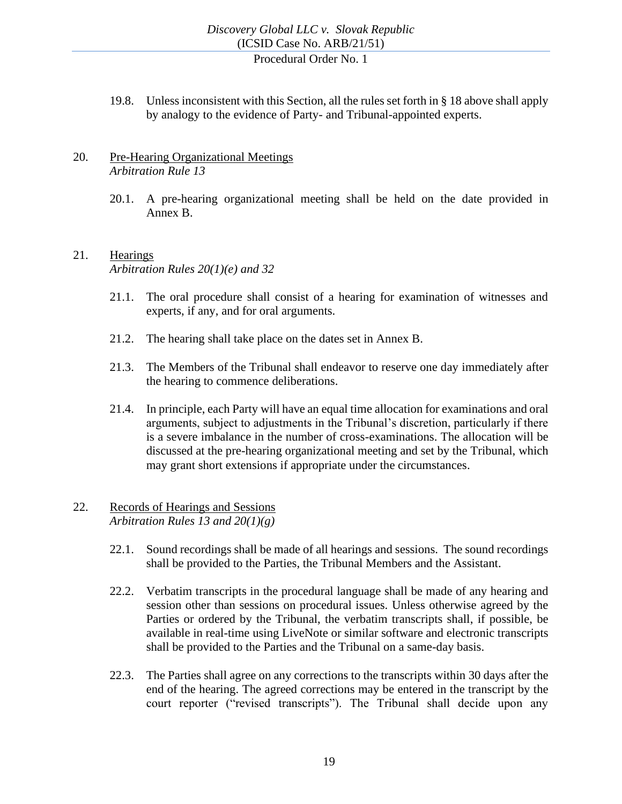19.8. Unless inconsistent with this Section, all the rules set forth in [§ 18](#page-14-0) above shall apply by analogy to the evidence of Party- and Tribunal-appointed experts.

#### <span id="page-18-0"></span>20. Pre-Hearing Organizational Meetings *Arbitration Rule 13*

20.1. A pre-hearing organizational meeting shall be held on the date provided in Annex B.

## <span id="page-18-1"></span>21. Hearings *Arbitration Rules 20(1)(e) and 32*

- 21.1. The oral procedure shall consist of a hearing for examination of witnesses and experts, if any, and for oral arguments.
- 21.2. The hearing shall take place on the dates set in Annex B.
- 21.3. The Members of the Tribunal shall endeavor to reserve one day immediately after the hearing to commence deliberations.
- 21.4. In principle, each Party will have an equal time allocation for examinations and oral arguments, subject to adjustments in the Tribunal's discretion, particularly if there is a severe imbalance in the number of cross-examinations. The allocation will be discussed at the pre-hearing organizational meeting and set by the Tribunal, which may grant short extensions if appropriate under the circumstances.

## <span id="page-18-2"></span>22. Records of Hearings and Sessions *Arbitration Rules 13 and 20(1)(g)*

- 22.1. Sound recordings shall be made of all hearings and sessions. The sound recordings shall be provided to the Parties, the Tribunal Members and the Assistant.
- 22.2. Verbatim transcripts in the procedural language shall be made of any hearing and session other than sessions on procedural issues. Unless otherwise agreed by the Parties or ordered by the Tribunal, the verbatim transcripts shall, if possible, be available in real-time using LiveNote or similar software and electronic transcripts shall be provided to the Parties and the Tribunal on a same-day basis.
- 22.3. The Parties shall agree on any corrections to the transcripts within 30 days after the end of the hearing. The agreed corrections may be entered in the transcript by the court reporter ("revised transcripts"). The Tribunal shall decide upon any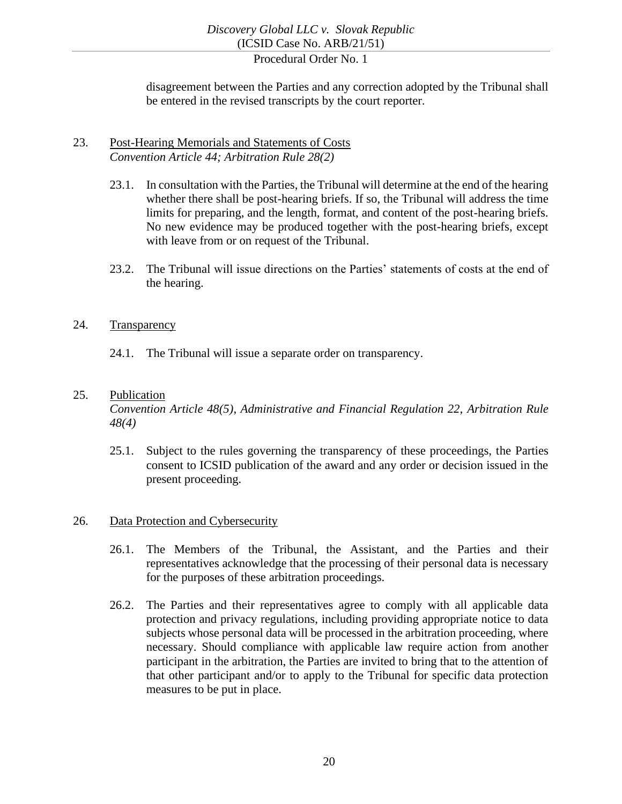disagreement between the Parties and any correction adopted by the Tribunal shall be entered in the revised transcripts by the court reporter.

#### <span id="page-19-0"></span>23. Post-Hearing Memorials and Statements of Costs *Convention Article 44; Arbitration Rule 28(2)*

- 23.1. In consultation with the Parties, the Tribunal will determine at the end of the hearing whether there shall be post-hearing briefs. If so, the Tribunal will address the time limits for preparing, and the length, format, and content of the post-hearing briefs. No new evidence may be produced together with the post-hearing briefs, except with leave from or on request of the Tribunal.
- 23.2. The Tribunal will issue directions on the Parties' statements of costs at the end of the hearing.

#### <span id="page-19-1"></span>24. Transparency

24.1. The Tribunal will issue a separate order on transparency.

#### <span id="page-19-2"></span>25. Publication

*Convention Article 48(5), Administrative and Financial Regulation 22, Arbitration Rule 48(4)*

25.1. Subject to the rules governing the transparency of these proceedings, the Parties consent to ICSID publication of the award and any order or decision issued in the present proceeding.

#### <span id="page-19-3"></span>26. Data Protection and Cybersecurity

- 26.1. The Members of the Tribunal, the Assistant, and the Parties and their representatives acknowledge that the processing of their personal data is necessary for the purposes of these arbitration proceedings.
- 26.2. The Parties and their representatives agree to comply with all applicable data protection and privacy regulations, including providing appropriate notice to data subjects whose personal data will be processed in the arbitration proceeding, where necessary. Should compliance with applicable law require action from another participant in the arbitration, the Parties are invited to bring that to the attention of that other participant and/or to apply to the Tribunal for specific data protection measures to be put in place.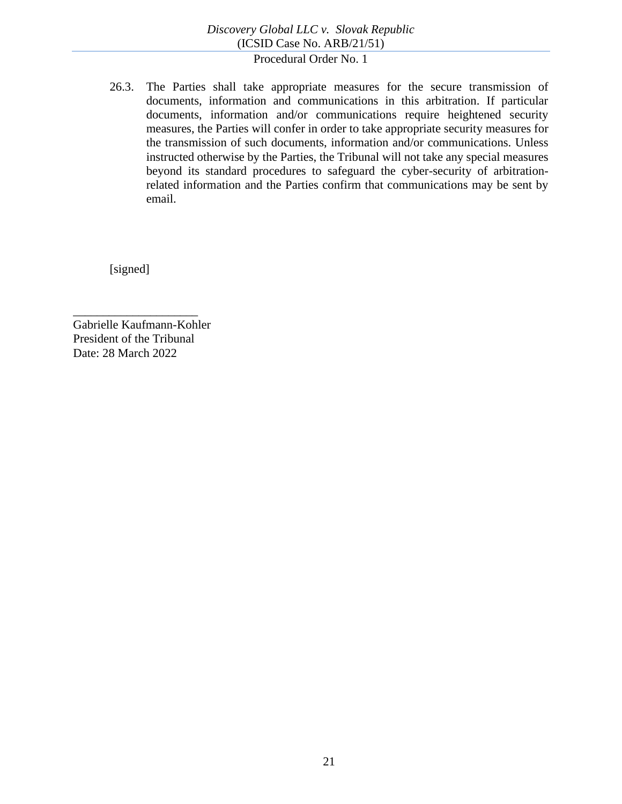26.3. The Parties shall take appropriate measures for the secure transmission of documents, information and communications in this arbitration. If particular documents, information and/or communications require heightened security measures, the Parties will confer in order to take appropriate security measures for the transmission of such documents, information and/or communications. Unless instructed otherwise by the Parties, the Tribunal will not take any special measures beyond its standard procedures to safeguard the cyber-security of arbitrationrelated information and the Parties confirm that communications may be sent by email.

[signed]

Gabrielle Kaufmann-Kohler President of the Tribunal Date: 28 March 2022

\_\_\_\_\_\_\_\_\_\_\_\_\_\_\_\_\_\_\_\_\_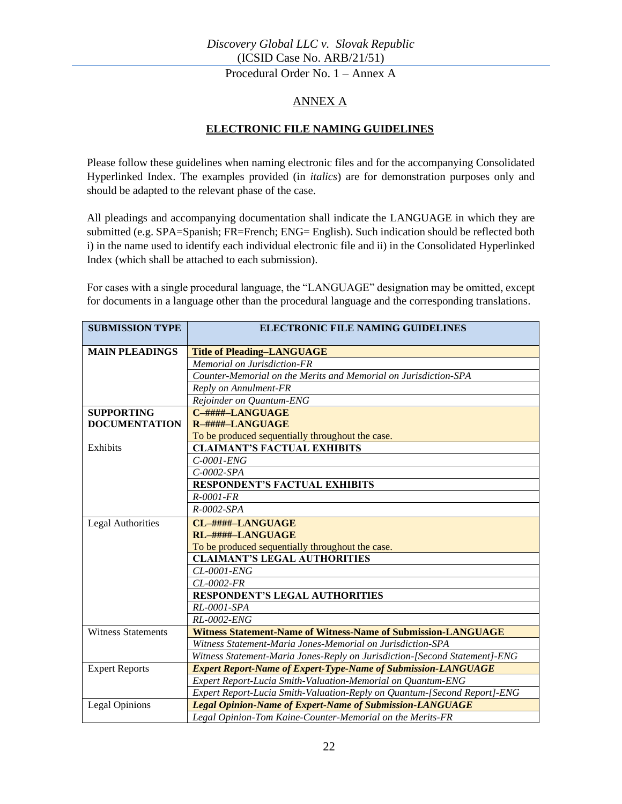Procedural Order No. 1 – Annex A

## ANNEX A

#### **ELECTRONIC FILE NAMING GUIDELINES**

<span id="page-21-0"></span>Please follow these guidelines when naming electronic files and for the accompanying Consolidated Hyperlinked Index. The examples provided (in *italics*) are for demonstration purposes only and should be adapted to the relevant phase of the case.

All pleadings and accompanying documentation shall indicate the LANGUAGE in which they are submitted (e.g. SPA=Spanish; FR=French; ENG= English). Such indication should be reflected both i) in the name used to identify each individual electronic file and ii) in the Consolidated Hyperlinked Index (which shall be attached to each submission).

For cases with a single procedural language, the "LANGUAGE" designation may be omitted, except for documents in a language other than the procedural language and the corresponding translations.

| <b>SUBMISSION TYPE</b>    | <b>ELECTRONIC FILE NAMING GUIDELINES</b>                                   |
|---------------------------|----------------------------------------------------------------------------|
| <b>MAIN PLEADINGS</b>     | <b>Title of Pleading-LANGUAGE</b>                                          |
|                           | Memorial on Jurisdiction-FR                                                |
|                           | Counter-Memorial on the Merits and Memorial on Jurisdiction-SPA            |
|                           | Reply on Annulment-FR                                                      |
|                           | Rejoinder on Quantum-ENG                                                   |
| <b>SUPPORTING</b>         | C-####-LANGUAGE                                                            |
| <b>DOCUMENTATION</b>      | R-####-LANGUAGE                                                            |
|                           | To be produced sequentially throughout the case.                           |
| Exhibits                  | <b>CLAIMANT'S FACTUAL EXHIBITS</b>                                         |
|                           | $C$ -0001- $ENG$                                                           |
|                           | $C$ -0002-SPA                                                              |
|                           | <b>RESPONDENT'S FACTUAL EXHIBITS</b>                                       |
|                           | $R - 0001 - FR$                                                            |
|                           | $R$ -0002-SPA                                                              |
| <b>Legal Authorities</b>  | CL-####-LANGUAGE                                                           |
|                           | RL-####-LANGUAGE                                                           |
|                           | To be produced sequentially throughout the case.                           |
|                           | <b>CLAIMANT'S LEGAL AUTHORITIES</b>                                        |
|                           | CL-0001-ENG                                                                |
|                           | CL-0002-FR                                                                 |
|                           | <b>RESPONDENT'S LEGAL AUTHORITIES</b>                                      |
|                           | RL-0001-SPA                                                                |
|                           | RL-0002-ENG                                                                |
| <b>Witness Statements</b> | <b>Witness Statement-Name of Witness-Name of Submission-LANGUAGE</b>       |
|                           | Witness Statement-Maria Jones-Memorial on Jurisdiction-SPA                 |
|                           | Witness Statement-Maria Jones-Reply on Jurisdiction-[Second Statement]-ENG |
| <b>Expert Reports</b>     | <b>Expert Report-Name of Expert-Type-Name of Submission-LANGUAGE</b>       |
|                           | Expert Report-Lucia Smith-Valuation-Memorial on Quantum-ENG                |
|                           | Expert Report-Lucia Smith-Valuation-Reply on Quantum-[Second Report]-ENG   |
| <b>Legal Opinions</b>     | <b>Legal Opinion-Name of Expert-Name of Submission-LANGUAGE</b>            |
|                           | Legal Opinion-Tom Kaine-Counter-Memorial on the Merits-FR                  |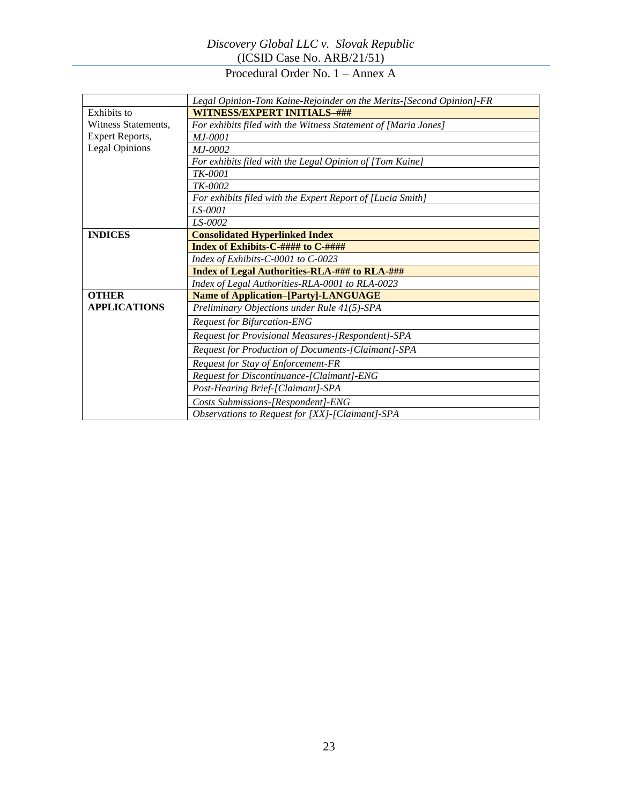Procedural Order No. 1 – Annex A

|                       | Legal Opinion-Tom Kaine-Rejoinder on the Merits-[Second Opinion]-FR |  |  |
|-----------------------|---------------------------------------------------------------------|--|--|
| Exhibits to           | WITNESS/EXPERT INITIALS-###                                         |  |  |
| Witness Statements,   | For exhibits filed with the Witness Statement of [Maria Jones]      |  |  |
| Expert Reports,       | $M.I-0001$                                                          |  |  |
| <b>Legal Opinions</b> | $M.I-0002$                                                          |  |  |
|                       | For exhibits filed with the Legal Opinion of [Tom Kaine]            |  |  |
|                       | TK-0001                                                             |  |  |
|                       | TK-0002                                                             |  |  |
|                       | For exhibits filed with the Expert Report of [Lucia Smith]          |  |  |
|                       | LS-0001                                                             |  |  |
|                       | LS-0002                                                             |  |  |
| <b>INDICES</b>        | <b>Consolidated Hyperlinked Index</b>                               |  |  |
|                       | Index of Exhibits-C-#### to C-####                                  |  |  |
|                       | Index of Exhibits-C-0001 to C-0023                                  |  |  |
|                       | Index of Legal Authorities-RLA-### to RLA-###                       |  |  |
|                       | Index of Legal Authorities-RLA-0001 to RLA-0023                     |  |  |
| <b>OTHER</b>          | <b>Name of Application-[Party]-LANGUAGE</b>                         |  |  |
| <b>APPLICATIONS</b>   | Preliminary Objections under Rule 41(5)-SPA                         |  |  |
|                       | <b>Request for Bifurcation-ENG</b>                                  |  |  |
|                       | Request for Provisional Measures-[Respondent]-SPA                   |  |  |
|                       | Request for Production of Documents-[Claimant]-SPA                  |  |  |
|                       | Request for Stay of Enforcement-FR                                  |  |  |
|                       | Request for Discontinuance-[Claimant]-ENG                           |  |  |
|                       | Post-Hearing Brief-[Claimant]-SPA                                   |  |  |
|                       | Costs Submissions-[Respondent]-ENG                                  |  |  |
|                       | Observations to Request for [XX]-[Claimant]-SPA                     |  |  |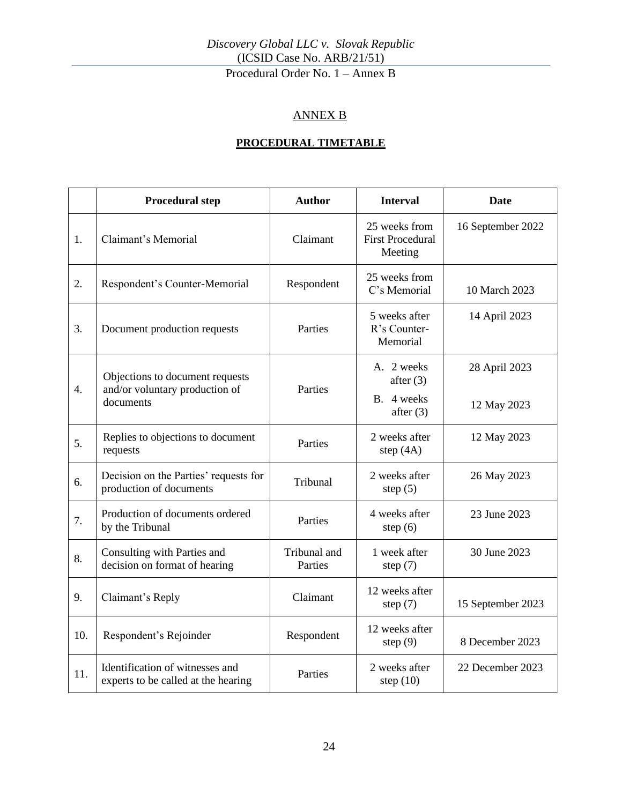Procedural Order No. 1 – Annex B

## ANNEX B

## **PROCEDURAL TIMETABLE**

<span id="page-23-0"></span>

|                  | <b>Procedural step</b>                                                 | <b>Author</b>           | <b>Interval</b>                                     | <b>Date</b>       |
|------------------|------------------------------------------------------------------------|-------------------------|-----------------------------------------------------|-------------------|
| 1.               | Claimant's Memorial                                                    | Claimant                | 25 weeks from<br><b>First Procedural</b><br>Meeting | 16 September 2022 |
| 2.               | Respondent's Counter-Memorial                                          | Respondent              | 25 weeks from<br>C's Memorial                       | 10 March 2023     |
| 3.               | Document production requests                                           | Parties                 | 5 weeks after<br>R's Counter-<br>Memorial           | 14 April 2023     |
|                  | Objections to document requests                                        |                         | A. 2 weeks<br>after $(3)$                           | 28 April 2023     |
| $\overline{4}$ . | and/or voluntary production of<br>documents                            | Parties                 | B. 4 weeks<br>after $(3)$                           | 12 May 2023       |
| 5.               | Replies to objections to document<br>requests                          | Parties                 | 2 weeks after<br>step $(4A)$                        | 12 May 2023       |
| 6.               | Decision on the Parties' requests for<br>production of documents       | Tribunal                | 2 weeks after<br>step $(5)$                         | 26 May 2023       |
| 7.               | Production of documents ordered<br>by the Tribunal                     | Parties                 | 4 weeks after<br>step $(6)$                         | 23 June 2023      |
| 8.               | Consulting with Parties and<br>decision on format of hearing           | Tribunal and<br>Parties | 1 week after<br>step $(7)$                          | 30 June 2023      |
| 9.               | Claimant's Reply                                                       | Claimant                | 12 weeks after<br>step $(7)$                        | 15 September 2023 |
| 10.              | Respondent's Rejoinder                                                 | Respondent              | 12 weeks after<br>step $(9)$                        | 8 December 2023   |
| 11.              | Identification of witnesses and<br>experts to be called at the hearing | Parties                 | 2 weeks after<br>step $(10)$                        | 22 December 2023  |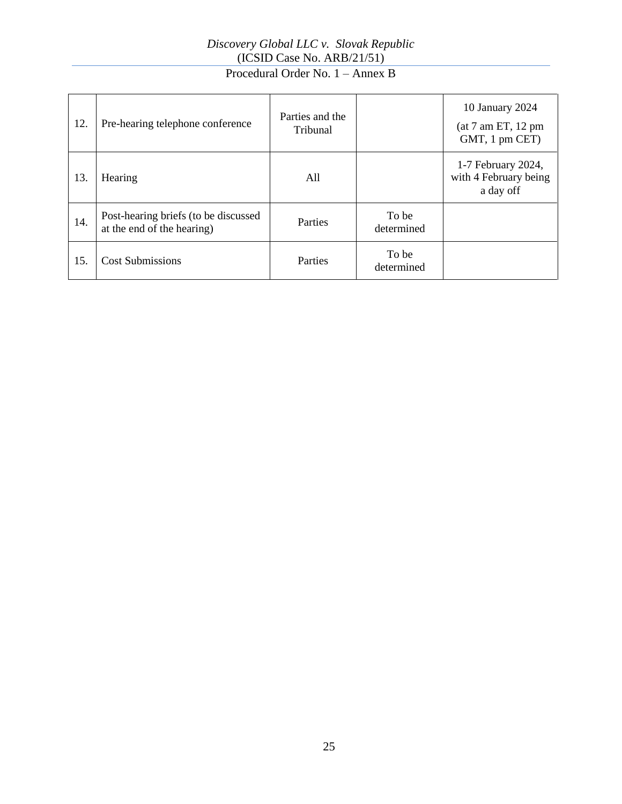# Procedural Order No. 1 – Annex B

| 12. | Pre-hearing telephone conference                                   | Parties and the<br>Tribunal |                     | 10 January 2024<br>(at 7 am ET, 12 pm<br>GMT, 1 pm CET)  |
|-----|--------------------------------------------------------------------|-----------------------------|---------------------|----------------------------------------------------------|
| 13. | Hearing                                                            | All                         |                     | 1-7 February 2024,<br>with 4 February being<br>a day off |
| 14. | Post-hearing briefs (to be discussed<br>at the end of the hearing) | Parties                     | To be<br>determined |                                                          |
| 15. | <b>Cost Submissions</b>                                            | Parties                     | To be<br>determined |                                                          |